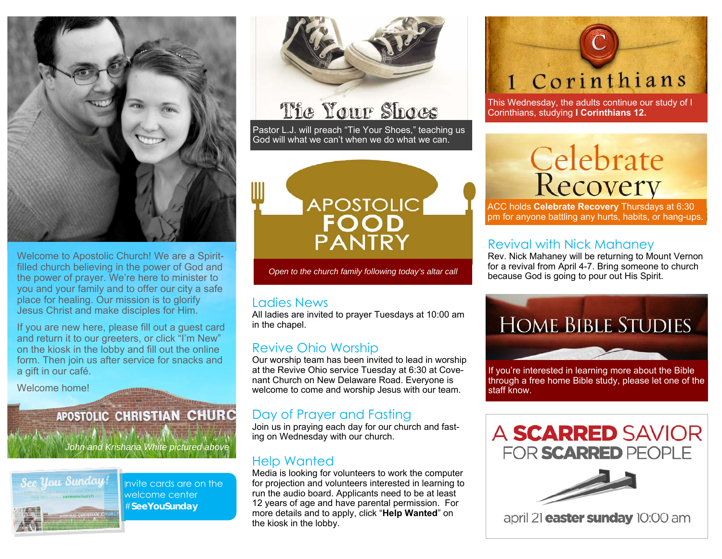

Welcome to Apostolic Church! We are a Spiritfilled church believing in the power of God and the power of prayer. We're here to minister to you and your family and to offer our city a safe place for healing. Our mission is to glorify Jesus Christ and make disciples for Him.

If you are new here, please fill out a guest card and return it to our greeters, or click "I'm New" on the kiosk in the lobby and fill out the online form. Then join us after service for snacks and a gift in our café.

Welcome home!

# **APOSTOLIC CHRISTIAN CHURC**

*John and Krishana White pictured above* 



Invite cards are on the welcome center #**SeeYouSunday** 



# The Your Shoes

Pastor L.J. will preach "Tie Your Shoes," teaching us God will what we can't when we do what we can.



*Open to the church family following today's altar call* 

#### Ladies News

All ladies are invited to prayer Tuesdays at 10:00 am in the chapel.

### Revive Ohio Worship

Our worship team has been invited to lead in worship at the Revive Ohio service Tuesday at 6:30 at Covenant Church on New Delaware Road. Everyone is welcome to come and worship Jesus with our team.

## Day of Prayer and Fasting

Join us in praying each day for our church and fasting on Wednesday with our church.

### Help Wanted

Media is looking for volunteers to work the computer for projection and volunteers interested in learning to run the audio board. Applicants need to be at least 12 years of age and have parental permission. For more details and to apply, click "**Help Wanted**" on the kiosk in the lobby.

# 1 Corinthians

This Wednesday, the adults continue our study of I Corinthians, studying **I Corinthians 12.**

# Celebrate<br>Recovery

ACC holds **Celebrate Recovery** Thursdays at 6:30 pm for anyone battling any hurts, habits, or hang-ups.

### Revival with Nick Mahaney

Rev. Nick Mahaney will be returning to Mount Vernon for a revival from April 4-7. Bring someone to church because God is going to pour out His Spirit.



If you're interested in learning more about the Bible through a free home Bible study, please let one of the staff know.



april 21 **easter sunday** 10:00 am